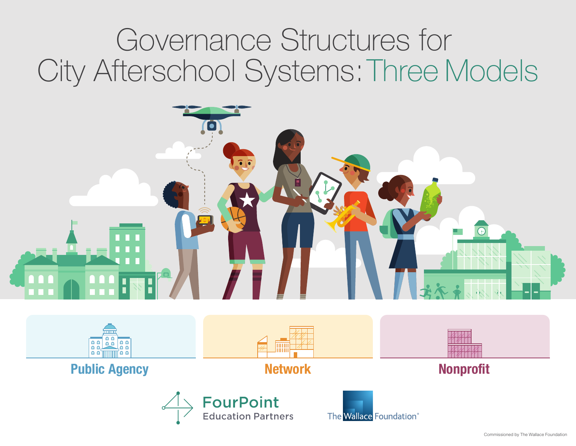





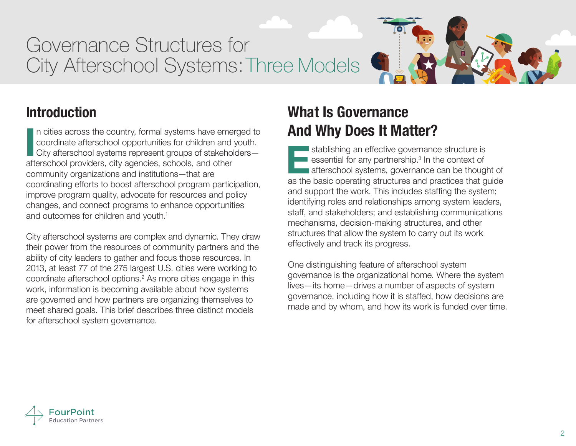# **Introduction**

n cities across the country, formal systems have emerged to coordinate afterschool opportunities for children and youth. City afterschool systems represent groups of stakeholders afterschool providers, city agencies, schools, and other community organizations and institutions—that are coordinating efforts to boost afterschool program participation, improve program quality, advocate for resources and policy changes, and connect programs to enhance opportunities and outcomes for children and youth.<sup>1</sup> In cities across the country, formal systems have emerged to<br>
coordinate afterschool opportunities for children and youth.<br>
City afterschool systems represent groups of stakeholders—<br>
afterschool providers, city agencies,

City afterschool systems are complex and dynamic. They draw their power from the resources of community partners and the ability of city leaders to gather and focus those resources. In 2013, at least 77 of the 275 largest U.S. cities were working to coordinate afterschool options.<sup>2</sup> As more cities engage in this work, information is becoming available about how systems are governed and how partners are organizing themselves to meet shared goals. This brief describes three distinct models for afterschool system governance.

# **What Is Governance And Why Does It Matter?**

stablishing an effective governance structure is essential for any partnership.<sup>3</sup> In the context of afterschool systems, governance can be thought of as the basic operating structures and practices that guide and support the work. This includes staffing the system; identifying roles and relationships among system leaders, staff, and stakeholders; and establishing communications mechanisms, decision-making structures, and other structures that allow the system to carry out its work effectively and track its progress.

One distinguishing feature of afterschool system governance is the organizational home. Where the system lives—its home—drives a number of aspects of system governance, including how it is staffed, how decisions are made and by whom, and how its work is funded over time.

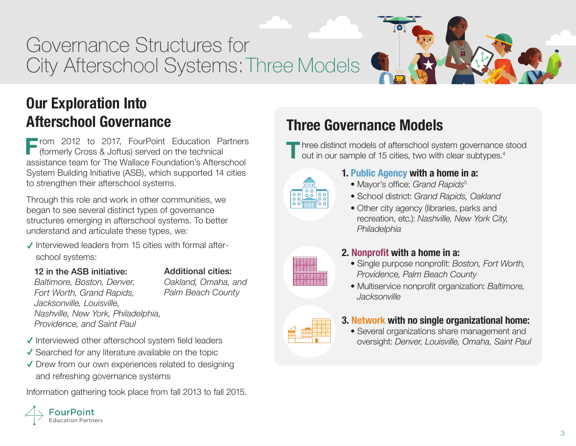

**F** rom 2012 to 2017, FourPoint Education Partners<br>
(formerly Cross & Joftus) served on the technical<br>
assistance team for The Wallace Foundation's Afterschool **r** rom 2012 to 2017, FourPoint Education Partners (formerly Cross & Joftus) served on the technical System Building Initiative (ASB), which supported 14 cities to strengthen their afterschool systems.

Through this role and work in other communities, we began to see several distinct types of governance structures emerging in afterschool systems. To better understand and articulate these types, we:

- $\checkmark$  Interviewed leaders from 15 cities with formal afterschool systems:
	- 12 in the ASB initiative:

### Additional cities:

*Baltimore, Boston, Denver, Fort Worth, Grand Rapids, Jacksonville, Louisville, Nashville, New York, Philadelphia, Providence, and Saint Paul*

*Oakland, Omaha, and Palm Beach County*

## $\checkmark$  Interviewed other afterschool system field leaders

- $\checkmark$  Searched for any literature available on the topic
- $\sqrt{\ }$  Drew from our own experiences related to designing and refreshing governance systems

Information gathering took place from fall 2013 to fall 2015.



# **Three Governance Models**

**T** hree distinct models of afterschool system governance stood out in our sample of 15 cities, two with clear subtypes.4



## **1. Public Agency with a home in a:**

- Mayor's office: *Grand Rapids*<sup>5</sup>
- School district: *Grand Rapids, Oakland*
- Other city agency (libraries, parks and recreation, etc.): *Nashville, New York City, Philadelphia*

## **2. Nonprofit with a home in a:**

- Single purpose nonprofit: *Boston, Fort Worth, Providence, Palm Beach County*
- Multiservice nonprofit organization: *Baltimore, Jacksonville*



### **3. Network with no single organizational home:**

• Several organizations share management and oversight: *Denver, Louisville, Omaha, Saint Paul*



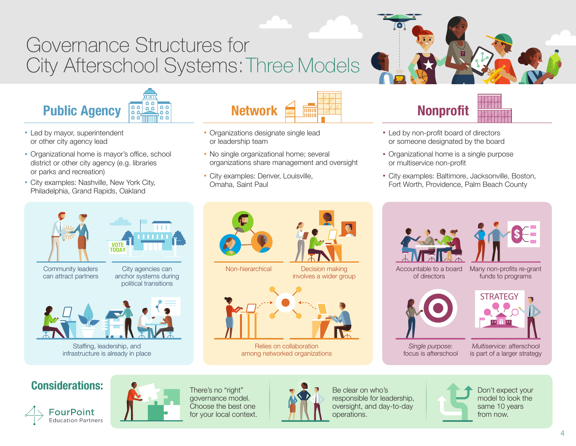

- Led by mayor, superintendent or other city agency lead
- Organizational home is mayor's office, school district or other city agency (e.g. libraries or parks and recreation)
- City examples: Nashville, New York City, Philadelphia, Grand Rapids, Oakland



Staffing, leadership, and infrastructure is already in place



- Organizations designate single lead or leadership team
- No single organizational home; several organizations share management and oversight
- City examples: Denver, Louisville, Omaha, Saint Paul



- Led by non-profit board of directors or someone designated by the board
- Organizational home is a single purpose or multiservice non-profit
- City examples: Baltimore, Jacksonville, Boston, Fort Worth, Providence, Palm Beach County







*Single purpose*: focus is afterschool



*Multiservice*: afterschool is part of a larger strategy

## **Considerations:**





There's no "right" governance model. Choose the best one for your local context.



Be clear on who's responsible for leadership, oversight, and day-to-day operations.



Don't expect your model to look the same 10 years from now.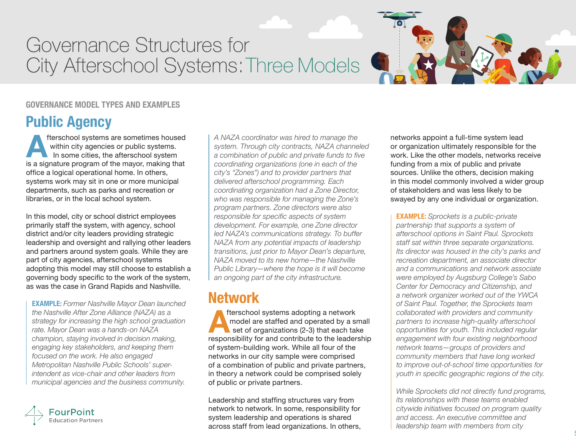#### **GOVERNANCE MODEL TYPES AND EXAMPLES**

## **Public Agency**

fterschool systems are sometimes housed within city agencies or public systems. In some cities, the afterschool system **A** fuerschool systems are sometimes housed<br>within city agencies or public systems.<br>In some cities, the afterschool system<br>is a signature program of the mayor, making that office a logical operational home. In others, systems work may sit in one or more municipal departments, such as parks and recreation or libraries, or in the local school system.

In this model, city or school district employees primarily staff the system, with agency, school district and/or city leaders providing strategic leadership and oversight and rallying other leaders and partners around system goals. While they are part of city agencies, afterschool systems adopting this model may still choose to establish a governing body specific to the work of the system, as was the case in Grand Rapids and Nashville.

**EXAMPLE:** *Former Nashville Mayor Dean launched the Nashville After Zone Alliance (NAZA) as a strategy for increasing the high school graduation rate. Mayor Dean was a hands-on NAZA champion, staying involved in decision making, engaging key stakeholders, and keeping them focused on the work. He also engaged Metropolitan Nashville Public Schools' superintendent as vice-chair and other leaders from municipal agencies and the business community.* 



*A NAZA coordinator was hired to manage the system. Through city contracts, NAZA channeled a combination of public and private funds to five coordinating organizations (one in each of the city's "Zones") and to provider partners that delivered afterschool programming. Each coordinating organization had a Zone Director, who was responsible for managing the Zone's program partners. Zone directors were also responsible for specific aspects of system development. For example, one Zone director led NAZA's communications strategy. To buffer NAZA from any potential impacts of leadership transitions, just prior to Mayor Dean's departure, NAZA moved to its new home—the Nashville Public Library—where the hope is it will become an ongoing part of the city infrastructure.*

## **Network**

fterschool systems adopting a network model are staffed and operated by a small set of organizations (2-3) that each take responsibility for and contribute to the leadership **A**of system-building work. While all four of the networks in our city sample were comprised of a combination of public and private partners, in theory a network could be comprised solely of public or private partners.

Leadership and staffing structures vary from network to network. In some, responsibility for system leadership and operations is shared across staff from lead organizations. In others, networks appoint a full-time system lead or organization ultimately responsible for the work. Like the other models, networks receive funding from a mix of public and private sources. Unlike the others, decision making in this model commonly involved a wider group of stakeholders and was less likely to be swayed by any one individual or organization.

**EXAMPLE:** *Sprockets is a public-private partnership that supports a system of afterschool options in Saint Paul. Sprockets staff sat within three separate organizations. Its director was housed in the city's parks and recreation department, an associate director and a communications and network associate were employed by Augsburg College's Sabo Center for Democracy and Citizenship, and a network organizer worked out of the YWCA of Saint Paul. Together, the Sprockets team collaborated with providers and community partners to increase high-quality afterschool opportunities for youth. This included regular engagement with four existing neighborhood network teams—groups of providers and community members that have long worked to improve out-of-school time opportunities for youth in specific geographic regions of the city.* 

*While Sprockets did not directly fund programs, its relationships with these teams enabled citywide initiatives focused on program quality and access. An executive committee and leadership team with members from city*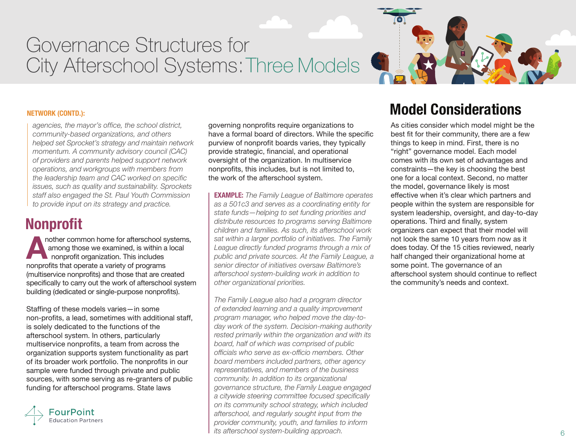

*agencies, the mayor's office, the school district, community-based organizations, and others helped set Sprocket's strategy and maintain network momentum. A community advisory council (CAC) of providers and parents helped support network operations, and workgroups with members from the leadership team and CAC worked on specific issues, such as quality and sustainability. Sprockets staff also engaged the St. Paul Youth Commission to provide input on its strategy and practice.*

## **Nonprofit**

nother common home for afterschool systems, among those we examined, is within a local nonprofit organization. This includes nother common home for afterschool s<br>
among those we examined, is within a<br>
nonprofit organization. This includes<br>
nonprofits that operate a variety of programs (multiservice nonprofits) and those that are created specifically to carry out the work of afterschool system building (dedicated or single-purpose nonprofits).

Staffing of these models varies—in some non-profits, a lead, sometimes with additional staff, is solely dedicated to the functions of the afterschool system. In others, particularly multiservice nonprofits, a team from across the organization supports system functionality as part of its broader work portfolio. The nonprofits in our sample were funded through private and public sources, with some serving as re-granters of public funding for afterschool programs. State laws



governing nonprofits require organizations to have a formal board of directors. While the specific purview of nonprofit boards varies, they typically provide strategic, financial, and operational oversight of the organization. In multiservice nonprofits, this includes, but is not limited to, the work of the afterschool system.

**EXAMPLE:** *The Family League of Baltimore operates as a 501c3 and serves as a coordinating entity for state funds—helping to set funding priorities and distribute resources to programs serving Baltimore children and families. As such, its afterschool work sat within a larger portfolio of initiatives. The Family League directly funded programs through a mix of public and private sources. At the Family League, a senior director of initiatives oversaw Baltimore's afterschool system-building work in addition to other organizational priorities.* 

*The Family League also had a program director of extended learning and a quality improvement program manager, who helped move the day-today work of the system. Decision-making authority rested primarily within the organization and with its board, half of which was comprised of public officials who serve as ex-officio members. Other board members included partners, other agency representatives, and members of the business community. In addition to its organizational governance structure, the Family League engaged a citywide steering committee focused specifically on its community school strategy, which included afterschool, and regularly sought input from the provider community, youth, and families to inform its afterschool system-building approach.*

# **Model Considerations**

As cities consider which model might be the best fit for their community, there are a few things to keep in mind. First, there is no "right" governance model. Each model comes with its own set of advantages and constraints—the key is choosing the best one for a local context. Second, no matter the model, governance likely is most effective when it's clear which partners and people within the system are responsible for system leadership, oversight, and day-to-day operations. Third and finally, system organizers can expect that their model will not look the same 10 years from now as it does today. Of the 15 cities reviewed, nearly half changed their organizational home at some point. The governance of an afterschool system should continue to reflect the community's needs and context.